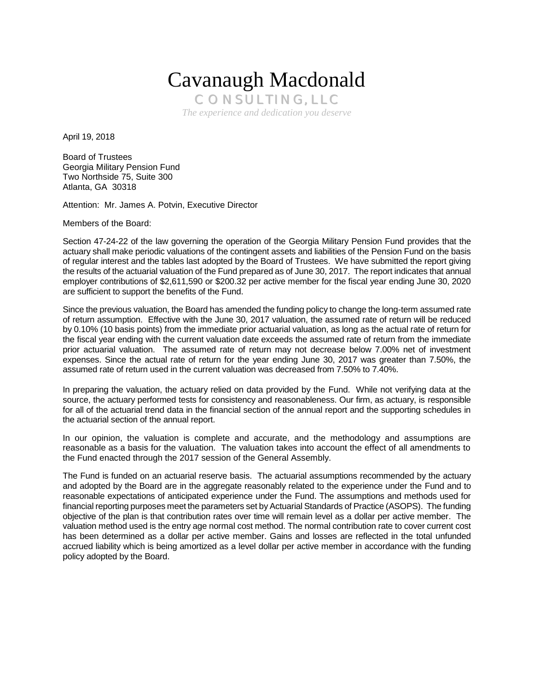# Cavanaugh Macdonald

CONSULTING, LLC *The experience and dedication you deserve* 

April 19, 2018

Board of Trustees Georgia Military Pension Fund Two Northside 75, Suite 300 Atlanta, GA 30318

Attention: Mr. James A. Potvin, Executive Director

Members of the Board:

Section 47-24-22 of the law governing the operation of the Georgia Military Pension Fund provides that the actuary shall make periodic valuations of the contingent assets and liabilities of the Pension Fund on the basis of regular interest and the tables last adopted by the Board of Trustees. We have submitted the report giving the results of the actuarial valuation of the Fund prepared as of June 30, 2017. The report indicates that annual employer contributions of \$2,611,590 or \$200.32 per active member for the fiscal year ending June 30, 2020 are sufficient to support the benefits of the Fund.

Since the previous valuation, the Board has amended the funding policy to change the long-term assumed rate of return assumption. Effective with the June 30, 2017 valuation, the assumed rate of return will be reduced by 0.10% (10 basis points) from the immediate prior actuarial valuation, as long as the actual rate of return for the fiscal year ending with the current valuation date exceeds the assumed rate of return from the immediate prior actuarial valuation. The assumed rate of return may not decrease below 7.00% net of investment expenses. Since the actual rate of return for the year ending June 30, 2017 was greater than 7.50%, the assumed rate of return used in the current valuation was decreased from 7.50% to 7.40%.

In preparing the valuation, the actuary relied on data provided by the Fund. While not verifying data at the source, the actuary performed tests for consistency and reasonableness. Our firm, as actuary, is responsible for all of the actuarial trend data in the financial section of the annual report and the supporting schedules in the actuarial section of the annual report.

In our opinion, the valuation is complete and accurate, and the methodology and assumptions are reasonable as a basis for the valuation. The valuation takes into account the effect of all amendments to the Fund enacted through the 2017 session of the General Assembly.

The Fund is funded on an actuarial reserve basis. The actuarial assumptions recommended by the actuary and adopted by the Board are in the aggregate reasonably related to the experience under the Fund and to reasonable expectations of anticipated experience under the Fund. The assumptions and methods used for financial reporting purposes meet the parameters set by Actuarial Standards of Practice (ASOPS). The funding objective of the plan is that contribution rates over time will remain level as a dollar per active member. The valuation method used is the entry age normal cost method. The normal contribution rate to cover current cost has been determined as a dollar per active member. Gains and losses are reflected in the total unfunded accrued liability which is being amortized as a level dollar per active member in accordance with the funding policy adopted by the Board.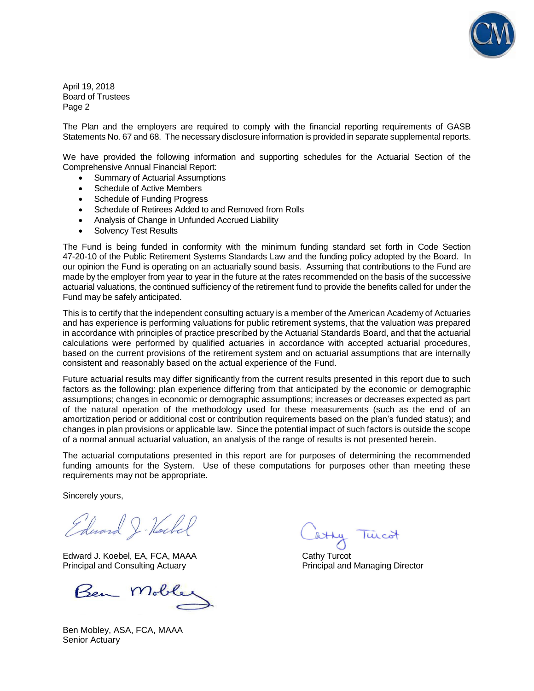

April 19, 2018 Board of Trustees Page 2

The Plan and the employers are required to comply with the financial reporting requirements of GASB Statements No. 67 and 68. The necessary disclosure information is provided in separate supplemental reports.

We have provided the following information and supporting schedules for the Actuarial Section of the Comprehensive Annual Financial Report:

- Summary of Actuarial Assumptions
- Schedule of Active Members
- Schedule of Funding Progress
- Schedule of Retirees Added to and Removed from Rolls
- Analysis of Change in Unfunded Accrued Liability
- Solvency Test Results

The Fund is being funded in conformity with the minimum funding standard set forth in Code Section 47-20-10 of the Public Retirement Systems Standards Law and the funding policy adopted by the Board. In our opinion the Fund is operating on an actuarially sound basis. Assuming that contributions to the Fund are made by the employer from year to year in the future at the rates recommended on the basis of the successive actuarial valuations, the continued sufficiency of the retirement fund to provide the benefits called for under the Fund may be safely anticipated.

This is to certify that the independent consulting actuary is a member of the American Academy of Actuaries and has experience is performing valuations for public retirement systems, that the valuation was prepared in accordance with principles of practice prescribed by the Actuarial Standards Board, and that the actuarial calculations were performed by qualified actuaries in accordance with accepted actuarial procedures, based on the current provisions of the retirement system and on actuarial assumptions that are internally consistent and reasonably based on the actual experience of the Fund.

Future actuarial results may differ significantly from the current results presented in this report due to such factors as the following: plan experience differing from that anticipated by the economic or demographic assumptions; changes in economic or demographic assumptions; increases or decreases expected as part of the natural operation of the methodology used for these measurements (such as the end of an amortization period or additional cost or contribution requirements based on the plan's funded status); and changes in plan provisions or applicable law. Since the potential impact of such factors is outside the scope of a normal annual actuarial valuation, an analysis of the range of results is not presented herein.

The actuarial computations presented in this report are for purposes of determining the recommended funding amounts for the System. Use of these computations for purposes other than meeting these requirements may not be appropriate.

Sincerely yours,

Edward J. Hockel

Edward J. Koebel, EA, FCA, MAAA Cathy Turcot Principal and Consulting Actuary **Principal and Managing Director** Principal and Managing Director

Ben Mob

Ben Mobley, ASA, FCA, MAAA Senior Actuary

atty Tuicot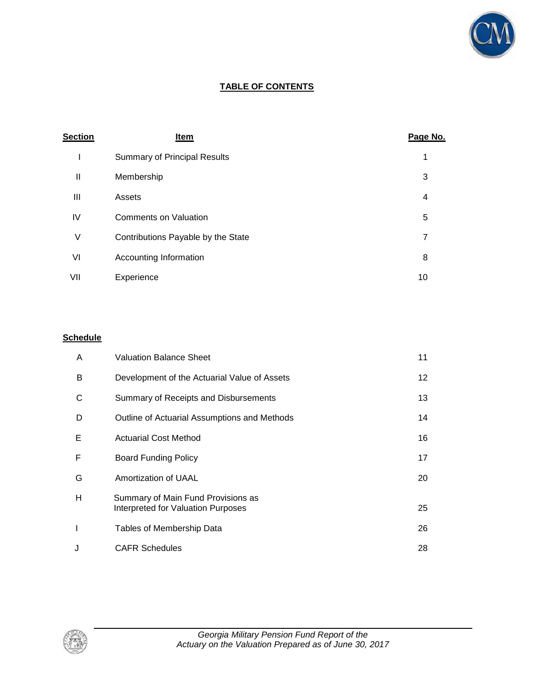

### **TABLE OF CONTENTS**

| <b>Section</b> | Item                                | Page No. |
|----------------|-------------------------------------|----------|
| I              | <b>Summary of Principal Results</b> | 1        |
| Ш              | Membership                          | 3        |
| Ш              | Assets                              | 4        |
| IV             | <b>Comments on Valuation</b>        | 5        |
| ٧              | Contributions Payable by the State  | 7        |
| VI             | Accounting Information              | 8        |
| VII            | Experience                          | 10       |

### **Schedule**

| A | <b>Valuation Balance Sheet</b>                                           | 11 |
|---|--------------------------------------------------------------------------|----|
| в | Development of the Actuarial Value of Assets                             | 12 |
| С | Summary of Receipts and Disbursements                                    | 13 |
| D | Outline of Actuarial Assumptions and Methods                             | 14 |
| Е | <b>Actuarial Cost Method</b>                                             | 16 |
| F | Board Funding Policy                                                     | 17 |
| G | Amortization of UAAL                                                     | 20 |
| н | Summary of Main Fund Provisions as<br>Interpreted for Valuation Purposes | 25 |
|   | Tables of Membership Data                                                | 26 |
| J | <b>CAFR Schedules</b>                                                    | 28 |

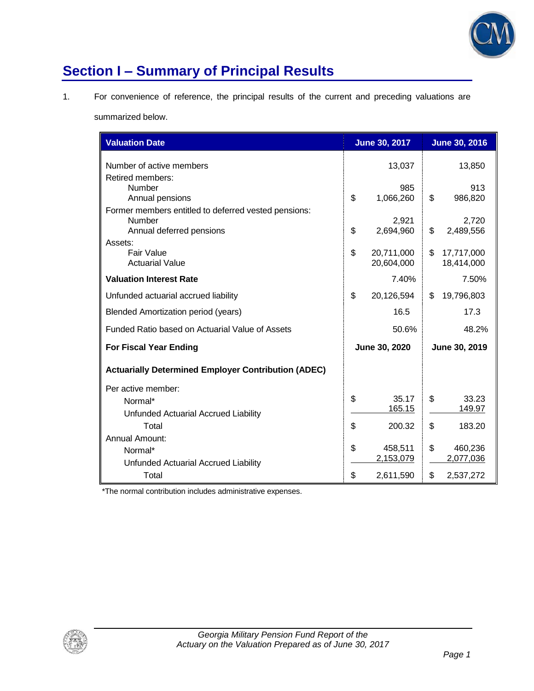

# **Section I – Summary of Principal Results**

1. For convenience of reference, the principal results of the current and preceding valuations are

summarized below.

| <b>Valuation Date</b>                                                                             |               | <b>June 30, 2017</b>     |    | <b>June 30, 2016</b>     |  |
|---------------------------------------------------------------------------------------------------|---------------|--------------------------|----|--------------------------|--|
| Number of active members<br>Retired members:                                                      |               | 13,037                   |    | 13,850                   |  |
| <b>Number</b><br>Annual pensions                                                                  | \$            | 985<br>1,066,260         | \$ | 913<br>986,820           |  |
| Former members entitled to deferred vested pensions:<br><b>Number</b><br>Annual deferred pensions | \$            | 2,921<br>2,694,960       | \$ | 2,720<br>2,489,556       |  |
| Assets:<br><b>Fair Value</b><br><b>Actuarial Value</b>                                            | \$            | 20,711,000<br>20,604,000 | \$ | 17,717,000<br>18,414,000 |  |
| <b>Valuation Interest Rate</b>                                                                    |               | 7.40%                    |    | 7.50%                    |  |
| Unfunded actuarial accrued liability                                                              | \$            | 20,126,594               | \$ | 19,796,803               |  |
| Blended Amortization period (years)                                                               |               | 16.5                     |    | 17.3                     |  |
| Funded Ratio based on Actuarial Value of Assets                                                   |               | 50.6%                    |    | 48.2%                    |  |
| <b>For Fiscal Year Ending</b>                                                                     | June 30, 2020 |                          |    | June 30, 2019            |  |
| <b>Actuarially Determined Employer Contribution (ADEC)</b>                                        |               |                          |    |                          |  |
| Per active member:                                                                                |               |                          |    |                          |  |
| Normal*                                                                                           | \$            | 35.17<br>165.15          | \$ | 33.23<br>149.97          |  |
| Unfunded Actuarial Accrued Liability<br>Total                                                     | \$            | 200.32                   | \$ | 183.20                   |  |
| Annual Amount:                                                                                    |               |                          |    |                          |  |
| Normal*                                                                                           | \$            | 458,511                  | \$ | 460,236                  |  |
| Unfunded Actuarial Accrued Liability                                                              |               | 2,153,079                |    | 2,077,036                |  |
| Total                                                                                             | \$            | 2,611,590                | \$ | 2,537,272                |  |

\*The normal contribution includes administrative expenses.

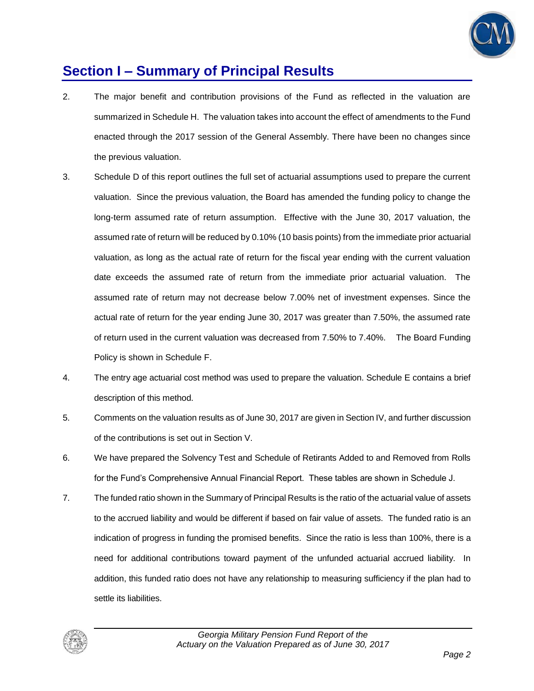

### **Section I – Summary of Principal Results**

- 2. The major benefit and contribution provisions of the Fund as reflected in the valuation are summarized in Schedule H. The valuation takes into account the effect of amendments to the Fund enacted through the 2017 session of the General Assembly. There have been no changes since the previous valuation.
- 3. Schedule D of this report outlines the full set of actuarial assumptions used to prepare the current valuation. Since the previous valuation, the Board has amended the funding policy to change the long-term assumed rate of return assumption. Effective with the June 30, 2017 valuation, the assumed rate of return will be reduced by 0.10% (10 basis points) from the immediate prior actuarial valuation, as long as the actual rate of return for the fiscal year ending with the current valuation date exceeds the assumed rate of return from the immediate prior actuarial valuation. The assumed rate of return may not decrease below 7.00% net of investment expenses. Since the actual rate of return for the year ending June 30, 2017 was greater than 7.50%, the assumed rate of return used in the current valuation was decreased from 7.50% to 7.40%. The Board Funding Policy is shown in Schedule F.
- 4. The entry age actuarial cost method was used to prepare the valuation. Schedule E contains a brief description of this method.
- 5. Comments on the valuation results as of June 30, 2017 are given in Section IV, and further discussion of the contributions is set out in Section V.
- 6. We have prepared the Solvency Test and Schedule of Retirants Added to and Removed from Rolls for the Fund's Comprehensive Annual Financial Report. These tables are shown in Schedule J.
- 7. The funded ratio shown in the Summary of Principal Results is the ratio of the actuarial value of assets to the accrued liability and would be different if based on fair value of assets. The funded ratio is an indication of progress in funding the promised benefits. Since the ratio is less than 100%, there is a need for additional contributions toward payment of the unfunded actuarial accrued liability. In addition, this funded ratio does not have any relationship to measuring sufficiency if the plan had to settle its liabilities.

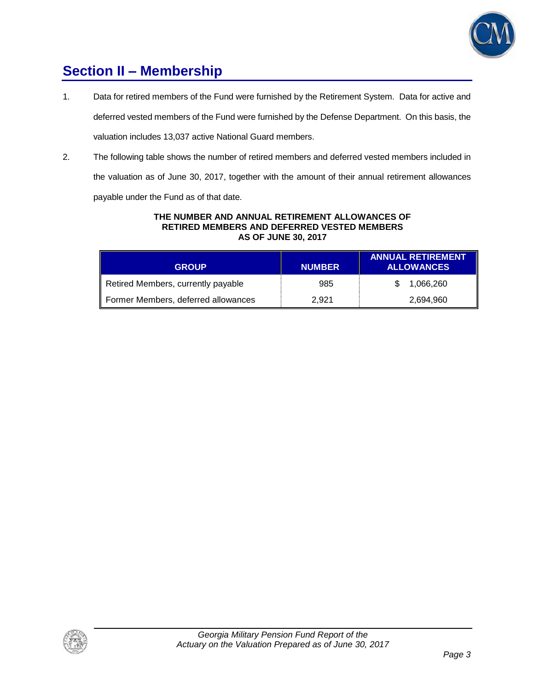

### **Section II – Membership**

- 1. Data for retired members of the Fund were furnished by the Retirement System. Data for active and deferred vested members of the Fund were furnished by the Defense Department. On this basis, the valuation includes 13,037 active National Guard members.
- 2. The following table shows the number of retired members and deferred vested members included in the valuation as of June 30, 2017, together with the amount of their annual retirement allowances

payable under the Fund as of that date.

#### **THE NUMBER AND ANNUAL RETIREMENT ALLOWANCES OF RETIRED MEMBERS AND DEFERRED VESTED MEMBERS AS OF JUNE 30, 2017**

| <b>GROUP</b>                        | <b>NUMBER</b> | <b>ANNUAL RETIREMENT</b><br><b>ALLOWANCES</b> |
|-------------------------------------|---------------|-----------------------------------------------|
| Retired Members, currently payable  | 985           | 1.066.260                                     |
| Former Members, deferred allowances | 2.921         | 2,694,960                                     |

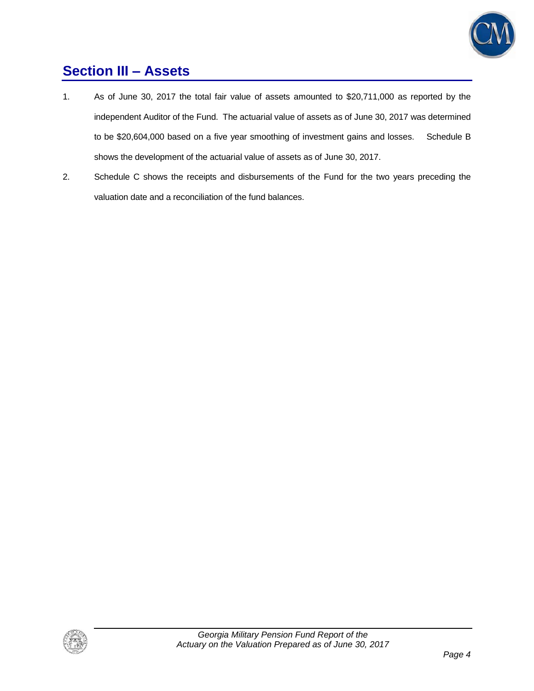

### **Section III – Assets**

- 1. As of June 30, 2017 the total fair value of assets amounted to \$20,711,000 as reported by the independent Auditor of the Fund. The actuarial value of assets as of June 30, 2017 was determined to be \$20,604,000 based on a five year smoothing of investment gains and losses. Schedule B shows the development of the actuarial value of assets as of June 30, 2017.
- 2. Schedule C shows the receipts and disbursements of the Fund for the two years preceding the valuation date and a reconciliation of the fund balances.

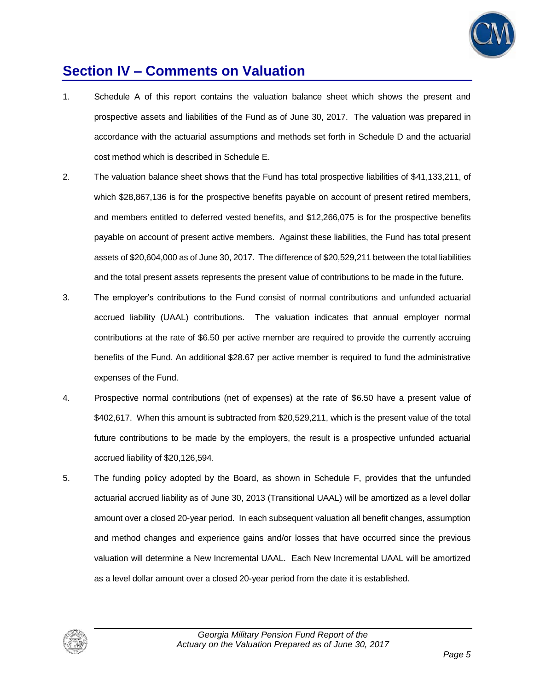

### **Section IV – Comments on Valuation**

- 1. Schedule A of this report contains the valuation balance sheet which shows the present and prospective assets and liabilities of the Fund as of June 30, 2017. The valuation was prepared in accordance with the actuarial assumptions and methods set forth in Schedule D and the actuarial cost method which is described in Schedule E.
- 2. The valuation balance sheet shows that the Fund has total prospective liabilities of \$41,133,211, of which \$28,867,136 is for the prospective benefits payable on account of present retired members, and members entitled to deferred vested benefits, and \$12,266,075 is for the prospective benefits payable on account of present active members. Against these liabilities, the Fund has total present assets of \$20,604,000 as of June 30, 2017. The difference of \$20,529,211 between the total liabilities and the total present assets represents the present value of contributions to be made in the future.
- 3. The employer's contributions to the Fund consist of normal contributions and unfunded actuarial accrued liability (UAAL) contributions. The valuation indicates that annual employer normal contributions at the rate of \$6.50 per active member are required to provide the currently accruing benefits of the Fund. An additional \$28.67 per active member is required to fund the administrative expenses of the Fund.
- 4. Prospective normal contributions (net of expenses) at the rate of \$6.50 have a present value of \$402,617. When this amount is subtracted from \$20,529,211, which is the present value of the total future contributions to be made by the employers, the result is a prospective unfunded actuarial accrued liability of \$20,126,594.
- 5. The funding policy adopted by the Board, as shown in Schedule F, provides that the unfunded actuarial accrued liability as of June 30, 2013 (Transitional UAAL) will be amortized as a level dollar amount over a closed 20-year period. In each subsequent valuation all benefit changes, assumption and method changes and experience gains and/or losses that have occurred since the previous valuation will determine a New Incremental UAAL. Each New Incremental UAAL will be amortized as a level dollar amount over a closed 20-year period from the date it is established.

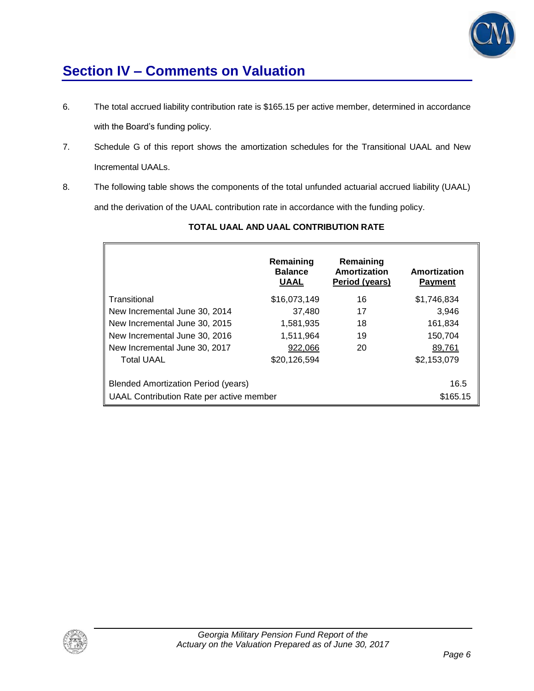

### **Section IV – Comments on Valuation**

- 6. The total accrued liability contribution rate is \$165.15 per active member, determined in accordance with the Board's funding policy.
- 7. Schedule G of this report shows the amortization schedules for the Transitional UAAL and New Incremental UAALs.
- 8. The following table shows the components of the total unfunded actuarial accrued liability (UAAL) and the derivation of the UAAL contribution rate in accordance with the funding policy.

|                                            | Remaining<br><b>Balance</b><br><b>UAAL</b> | Remaining<br>Amortization<br>Period (years) | Amortization<br><b>Payment</b> |
|--------------------------------------------|--------------------------------------------|---------------------------------------------|--------------------------------|
| Transitional                               | \$16,073,149                               | 16                                          | \$1,746,834                    |
| New Incremental June 30, 2014              | 37,480                                     | 17                                          | 3,946                          |
| New Incremental June 30, 2015              | 1,581,935                                  | 18                                          | 161,834                        |
| New Incremental June 30, 2016              | 1,511,964                                  | 19                                          | 150,704                        |
| New Incremental June 30, 2017              | 922,066                                    | 20                                          | 89,761                         |
| <b>Total UAAL</b>                          | \$20,126,594                               |                                             | \$2,153,079                    |
| <b>Blended Amortization Period (years)</b> |                                            |                                             | 16.5                           |
| UAAL Contribution Rate per active member   |                                            |                                             | \$165.15                       |

### **TOTAL UAAL AND UAAL CONTRIBUTION RATE**

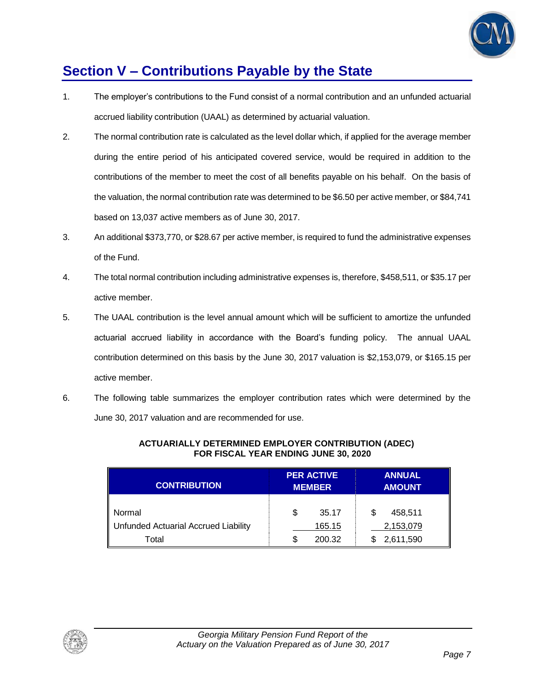

### **Section V – Contributions Payable by the State**

- 1. The employer's contributions to the Fund consist of a normal contribution and an unfunded actuarial accrued liability contribution (UAAL) as determined by actuarial valuation.
- 2. The normal contribution rate is calculated as the level dollar which, if applied for the average member during the entire period of his anticipated covered service, would be required in addition to the contributions of the member to meet the cost of all benefits payable on his behalf. On the basis of the valuation, the normal contribution rate was determined to be \$6.50 per active member, or \$84,741 based on 13,037 active members as of June 30, 2017.
- 3. An additional \$373,770, or \$28.67 per active member, is required to fund the administrative expenses of the Fund.
- 4. The total normal contribution including administrative expenses is, therefore, \$458,511, or \$35.17 per active member.
- 5. The UAAL contribution is the level annual amount which will be sufficient to amortize the unfunded actuarial accrued liability in accordance with the Board's funding policy. The annual UAAL contribution determined on this basis by the June 30, 2017 valuation is \$2,153,079, or \$165.15 per active member.
- 6. The following table summarizes the employer contribution rates which were determined by the June 30, 2017 valuation and are recommended for use.

| <b>CONTRIBUTION</b>                  |   | <b>PER ACTIVE</b><br><b>MEMBER</b> | <b>ANNUAL</b><br><b>AMOUNT</b> |           |  |
|--------------------------------------|---|------------------------------------|--------------------------------|-----------|--|
| Normal                               | S | 35.17                              | S                              | 458,511   |  |
| Unfunded Actuarial Accrued Liability |   | 165.15                             |                                | 2,153,079 |  |
| Total                                | S | 200.32                             |                                | 2,611,590 |  |

#### **ACTUARIALLY DETERMINED EMPLOYER CONTRIBUTION (ADEC) FOR FISCAL YEAR ENDING JUNE 30, 2020**

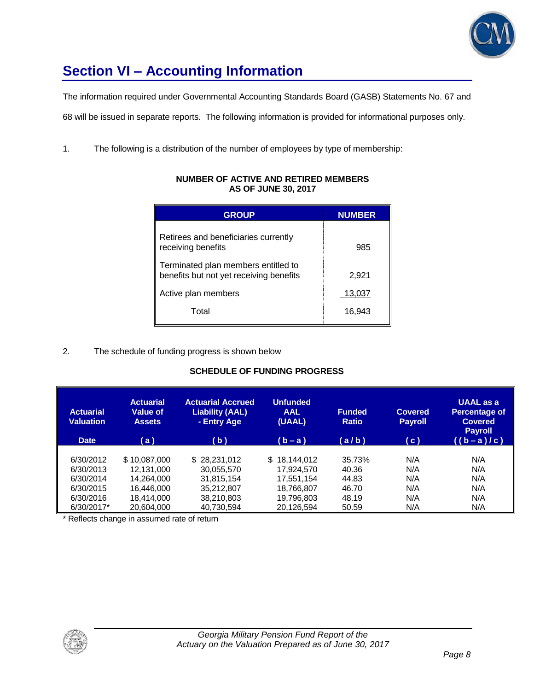

# **Section VI – Accounting Information**

The information required under Governmental Accounting Standards Board (GASB) Statements No. 67 and

68 will be issued in separate reports. The following information is provided for informational purposes only.

1. The following is a distribution of the number of employees by type of membership:

| <b>GROUP</b>                                                                   | <b>NUMBER</b> |
|--------------------------------------------------------------------------------|---------------|
| Retirees and beneficiaries currently<br>receiving benefits                     | 985           |
| Terminated plan members entitled to<br>benefits but not yet receiving benefits | 2,921         |
| Active plan members                                                            | 13,037        |
| Total                                                                          | 16,943        |

#### **NUMBER OF ACTIVE AND RETIRED MEMBERS AS OF JUNE 30, 2017**

#### 2. The schedule of funding progress is shown below

#### **SCHEDULE OF FUNDING PROGRESS**

| <b>Actuarial</b><br><b>Valuation</b><br><b>Date</b> | <b>Actuarial</b><br><b>Value of</b><br><b>Assets</b><br>(a) | <b>Actuarial Accrued</b><br><b>Liability (AAL)</b><br>- Entry Age<br>(b) | <b>Unfunded</b><br><b>AAL</b><br>(UAAL)<br>$(b - a)$ | <b>Funded</b><br><b>Ratio</b><br>(a/b) | <b>Covered</b><br><b>Payroll</b><br>(c) | <b>UAAL</b> as a<br><b>Percentage of</b><br><b>Covered</b><br><b>Payroll</b><br>$((b-a)/c)$ |
|-----------------------------------------------------|-------------------------------------------------------------|--------------------------------------------------------------------------|------------------------------------------------------|----------------------------------------|-----------------------------------------|---------------------------------------------------------------------------------------------|
| 6/30/2012                                           | \$10.087.000                                                | \$28,231,012                                                             | \$18,144,012                                         | 35.73%                                 | N/A                                     | N/A                                                                                         |
| 6/30/2013                                           | 12.131.000                                                  | 30.055.570                                                               | 17.924.570                                           | 40.36                                  | N/A                                     | N/A                                                                                         |
| 6/30/2014                                           | 14.264.000                                                  | 31.815.154                                                               | 17.551.154                                           | 44.83                                  | N/A                                     | N/A                                                                                         |
| 6/30/2015                                           | 16.446.000                                                  | 35,212,807                                                               | 18,766,807                                           | 46.70                                  | N/A                                     | N/A                                                                                         |
| 6/30/2016                                           | 18.414.000                                                  | 38,210,803                                                               | 19,796,803                                           | 48.19                                  | N/A                                     | N/A                                                                                         |
| 6/30/2017*                                          | 20,604,000                                                  | 40,730,594                                                               | 20,126,594                                           | 50.59                                  | N/A                                     | N/A                                                                                         |

\* Reflects change in assumed rate of return

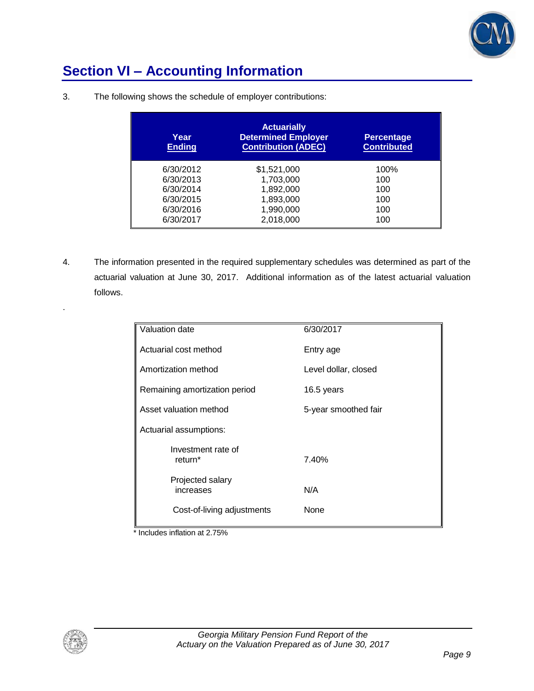

### **Section VI – Accounting Information**

| Year<br><b>Ending</b> | <b>Actuarially</b><br><b>Determined Employer</b><br><b>Contribution (ADEC)</b> | <b>Percentage</b><br><b>Contributed</b> |
|-----------------------|--------------------------------------------------------------------------------|-----------------------------------------|
| 6/30/2012             | \$1,521,000                                                                    | 100%                                    |
| 6/30/2013             | 1,703,000                                                                      | 100                                     |
| 6/30/2014             | 1,892,000                                                                      | 100                                     |
| 6/30/2015             | 1,893,000                                                                      | 100                                     |
| 6/30/2016             | 1,990,000                                                                      | 100                                     |
| 6/30/2017             | 2,018,000                                                                      | 100                                     |

3. The following shows the schedule of employer contributions:

4. The information presented in the required supplementary schedules was determined as part of the actuarial valuation at June 30, 2017. Additional information as of the latest actuarial valuation follows.

| Valuation date                            | 6/30/2017            |
|-------------------------------------------|----------------------|
| Actuarial cost method                     | Entry age            |
| Amortization method                       | Level dollar, closed |
| Remaining amortization period             | 16.5 years           |
| Asset valuation method                    | 5-year smoothed fair |
| Actuarial assumptions:                    |                      |
| Investment rate of<br>return <sup>*</sup> | 7.40%                |
| Projected salary<br>increases             | N/A                  |
| Cost-of-living adjustments                | None                 |

\* Includes inflation at 2.75%



.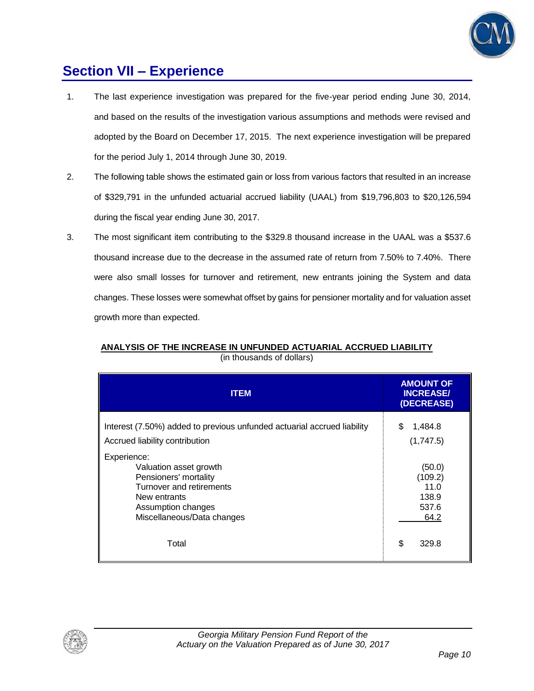

### **Section VII – Experience**

- 1. The last experience investigation was prepared for the five-year period ending June 30, 2014, and based on the results of the investigation various assumptions and methods were revised and adopted by the Board on December 17, 2015. The next experience investigation will be prepared for the period July 1, 2014 through June 30, 2019.
- 2. The following table shows the estimated gain or loss from various factors that resulted in an increase of \$329,791 in the unfunded actuarial accrued liability (UAAL) from \$19,796,803 to \$20,126,594 during the fiscal year ending June 30, 2017.
- 3. The most significant item contributing to the \$329.8 thousand increase in the UAAL was a \$537.6 thousand increase due to the decrease in the assumed rate of return from 7.50% to 7.40%. There were also small losses for turnover and retirement, new entrants joining the System and data changes. These losses were somewhat offset by gains for pensioner mortality and for valuation asset growth more than expected.

| <b>ITEM</b>                                                                                                                                                    | <b>AMOUNT OF</b><br><b>INCREASE/</b><br>(DECREASE)  |
|----------------------------------------------------------------------------------------------------------------------------------------------------------------|-----------------------------------------------------|
| Interest (7.50%) added to previous unfunded actuarial accrued liability<br>Accrued liability contribution                                                      | 1,484.8<br>S<br>(1,747.5)                           |
| Experience:<br>Valuation asset growth<br>Pensioners' mortality<br>Turnover and retirements<br>New entrants<br>Assumption changes<br>Miscellaneous/Data changes | (50.0)<br>(109.2)<br>11.0<br>138.9<br>537.6<br>64.2 |
| Total                                                                                                                                                          | \$<br>329.8                                         |

### **ANALYSIS OF THE INCREASE IN UNFUNDED ACTUARIAL ACCRUED LIABILITY** (in thousands of dollars)

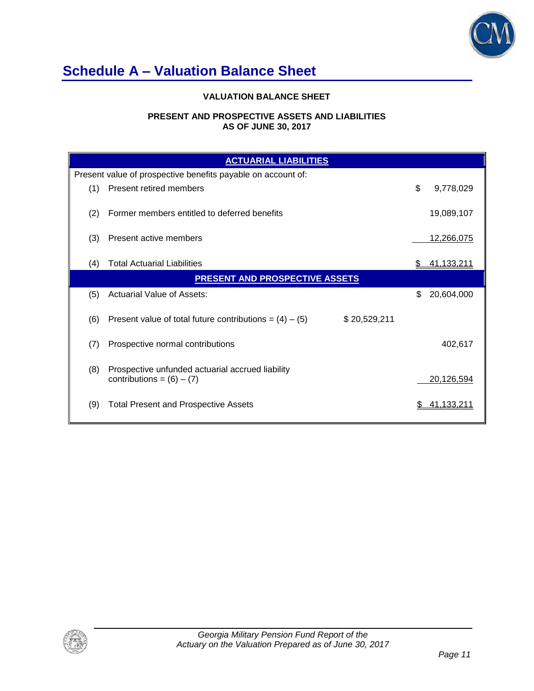

### **Schedule A – Valuation Balance Sheet**

#### **VALUATION BALANCE SHEET**

#### **PRESENT AND PROSPECTIVE ASSETS AND LIABILITIES AS OF JUNE 30, 2017**

|     | <b>ACTUARIAL LIABILITIES</b>                                                    |    |                   |  |  |  |
|-----|---------------------------------------------------------------------------------|----|-------------------|--|--|--|
|     | Present value of prospective benefits payable on account of:                    |    |                   |  |  |  |
| (1) | Present retired members                                                         | \$ | 9,778,029         |  |  |  |
| (2) | Former members entitled to deferred benefits                                    |    | 19,089,107        |  |  |  |
| (3) | Present active members                                                          |    | <u>12,266,075</u> |  |  |  |
| (4) | <b>Total Actuarial Liabilities</b>                                              |    | 41,133,211        |  |  |  |
|     | <b>PRESENT AND PROSPECTIVE ASSETS</b>                                           |    |                   |  |  |  |
| (5) | Actuarial Value of Assets:                                                      | \$ | 20,604,000        |  |  |  |
| (6) | Present value of total future contributions = $(4) - (5)$<br>\$20,529,211       |    |                   |  |  |  |
| (7) | Prospective normal contributions                                                |    | 402,617           |  |  |  |
| (8) | Prospective unfunded actuarial accrued liability<br>contributions = $(6) - (7)$ |    | 20,126,594        |  |  |  |
| (9) | <b>Total Present and Prospective Assets</b>                                     |    | 41.133.211        |  |  |  |

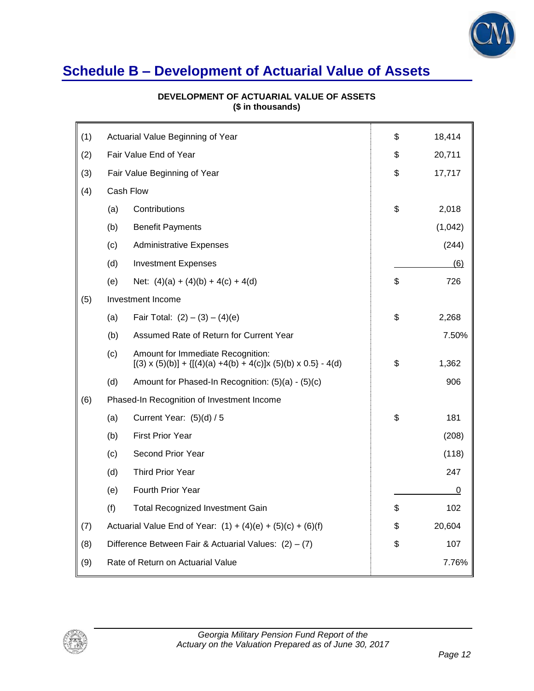

### **Schedule B – Development of Actuarial Value of Assets**

| (1) | Actuarial Value Beginning of Year                             |                                                                                                               | \$<br>18,414 |
|-----|---------------------------------------------------------------|---------------------------------------------------------------------------------------------------------------|--------------|
| (2) | Fair Value End of Year                                        |                                                                                                               | \$<br>20,711 |
| (3) |                                                               | Fair Value Beginning of Year                                                                                  | \$<br>17,717 |
| (4) | Cash Flow                                                     |                                                                                                               |              |
|     | (a)                                                           | Contributions                                                                                                 | \$<br>2,018  |
|     | (b)                                                           | <b>Benefit Payments</b>                                                                                       | (1,042)      |
|     | (c)                                                           | <b>Administrative Expenses</b>                                                                                | (244)        |
|     | (d)                                                           | <b>Investment Expenses</b>                                                                                    | (6)          |
|     | (e)                                                           | Net: $(4)(a) + (4)(b) + 4(c) + 4(d)$                                                                          | \$<br>726    |
| (5) |                                                               | Investment Income                                                                                             |              |
|     | (a)                                                           | Fair Total: $(2) - (3) - (4)(e)$                                                                              | \$<br>2,268  |
|     | (b)                                                           | Assumed Rate of Return for Current Year                                                                       | 7.50%        |
|     | (c)                                                           | Amount for Immediate Recognition:<br>$[(3) \times (5)(b)] + {[(4)(a) +4(b) +4(c)]x (5)(b) \times 0.5} - 4(d)$ | \$<br>1,362  |
|     | (d)                                                           | Amount for Phased-In Recognition: (5)(a) - (5)(c)                                                             | 906          |
| (6) |                                                               | Phased-In Recognition of Investment Income                                                                    |              |
|     | (a)                                                           | Current Year: $(5)(d) / 5$                                                                                    | \$<br>181    |
|     | (b)                                                           | <b>First Prior Year</b>                                                                                       | (208)        |
|     | (c)                                                           | Second Prior Year                                                                                             | (118)        |
|     | (d)                                                           | <b>Third Prior Year</b>                                                                                       | 247          |
|     | (e)                                                           | Fourth Prior Year                                                                                             | 0            |
|     | (f)                                                           | <b>Total Recognized Investment Gain</b>                                                                       | \$<br>102    |
| (7) | Actuarial Value End of Year: $(1) + (4)(e) + (5)(c) + (6)(f)$ |                                                                                                               | \$<br>20,604 |
| (8) | Difference Between Fair & Actuarial Values: $(2) - (7)$       |                                                                                                               | \$<br>107    |
| (9) |                                                               | Rate of Return on Actuarial Value                                                                             | 7.76%        |

#### **DEVELOPMENT OF ACTUARIAL VALUE OF ASSETS (\$ in thousands)**

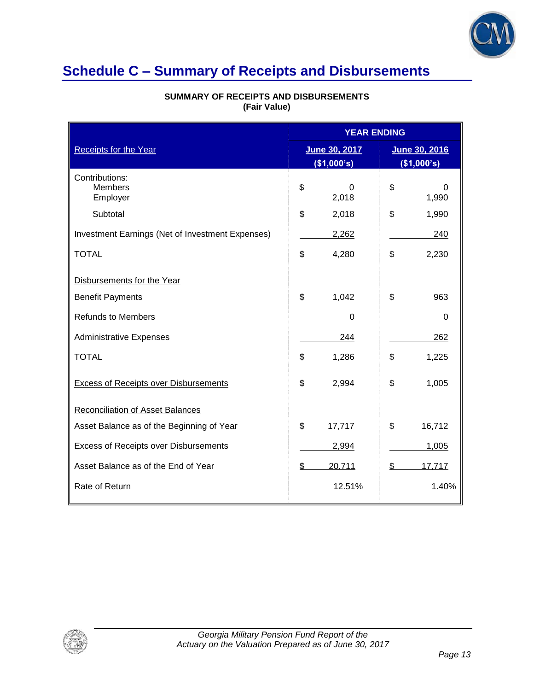

### **Schedule C – Summary of Receipts and Disbursements**

|                                                  |    | <b>YEAR ENDING</b>           |    |                              |
|--------------------------------------------------|----|------------------------------|----|------------------------------|
| <b>Receipts for the Year</b>                     |    | June 30, 2017<br>(\$1,000's) |    | June 30, 2016<br>(\$1,000's) |
| Contributions:<br><b>Members</b><br>Employer     | \$ | 0<br>2,018                   | \$ | $\Omega$<br>1,990            |
| Subtotal                                         | \$ | 2,018                        | \$ | 1,990                        |
| Investment Earnings (Net of Investment Expenses) |    | 2,262                        |    | 240                          |
| <b>TOTAL</b>                                     | \$ | 4,280                        | \$ | 2,230                        |
| Disbursements for the Year                       |    |                              |    |                              |
| <b>Benefit Payments</b>                          | \$ | 1,042                        | \$ | 963                          |
| <b>Refunds to Members</b>                        |    | $\Omega$                     |    | $\Omega$                     |
| <b>Administrative Expenses</b>                   |    | 244                          |    | 262                          |
| <b>TOTAL</b>                                     | \$ | 1,286                        | \$ | 1,225                        |
| <b>Excess of Receipts over Disbursements</b>     | \$ | 2,994                        | \$ | 1,005                        |
| <b>Reconciliation of Asset Balances</b>          |    |                              |    |                              |
| Asset Balance as of the Beginning of Year        | \$ | 17,717                       | \$ | 16,712                       |
| Excess of Receipts over Disbursements            |    | 2,994                        |    | 1,005                        |
| Asset Balance as of the End of Year              | \$ | 20,711                       | \$ | 17,717                       |
| Rate of Return                                   |    | 12.51%                       |    | 1.40%                        |

#### **SUMMARY OF RECEIPTS AND DISBURSEMENTS (Fair Value)**

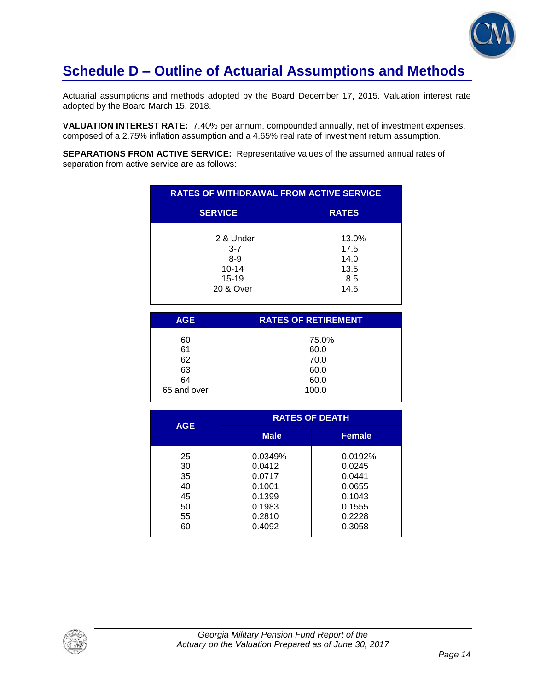

### **Schedule D – Outline of Actuarial Assumptions and Methods**

Actuarial assumptions and methods adopted by the Board December 17, 2015. Valuation interest rate adopted by the Board March 15, 2018.

**VALUATION INTEREST RATE:** 7.40% per annum, compounded annually, net of investment expenses, composed of a 2.75% inflation assumption and a 4.65% real rate of investment return assumption.

**SEPARATIONS FROM ACTIVE SERVICE:** Representative values of the assumed annual rates of separation from active service are as follows:

| <b>RATES OF WITHDRAWAL FROM ACTIVE SERVICE</b>                         |                                              |  |
|------------------------------------------------------------------------|----------------------------------------------|--|
| <b>SERVICE</b>                                                         | <b>RATES</b>                                 |  |
| 2 & Under<br>$3 - 7$<br>$8 - 9$<br>$10 - 14$<br>$15 - 19$<br>20 & Over | 13.0%<br>17.5<br>14.0<br>13.5<br>8.5<br>14.5 |  |

| <b>AGE</b>  | <b>RATES OF RETIREMENT</b> |
|-------------|----------------------------|
| 60          | 75.0%                      |
| 61          | 60.0                       |
| 62          | 70.0                       |
| 63          | 60.0                       |
| 64          | 60.0                       |
| 65 and over | 100.0                      |
|             |                            |

|            | <b>RATES OF DEATH</b> |               |  |
|------------|-----------------------|---------------|--|
| <b>AGE</b> | <b>Male</b>           | <b>Female</b> |  |
| 25         | 0.0349%               | 0.0192%       |  |
| 30         | 0.0412                | 0.0245        |  |
| 35         | 0.0717                | 0.0441        |  |
| 40         | 0.1001                | 0.0655        |  |
| 45         | 0.1399                | 0.1043        |  |
| 50         | 0.1983                | 0.1555        |  |
| 55         | 0.2810                | 0.2228        |  |
| 60         | 0.4092                | 0.3058        |  |

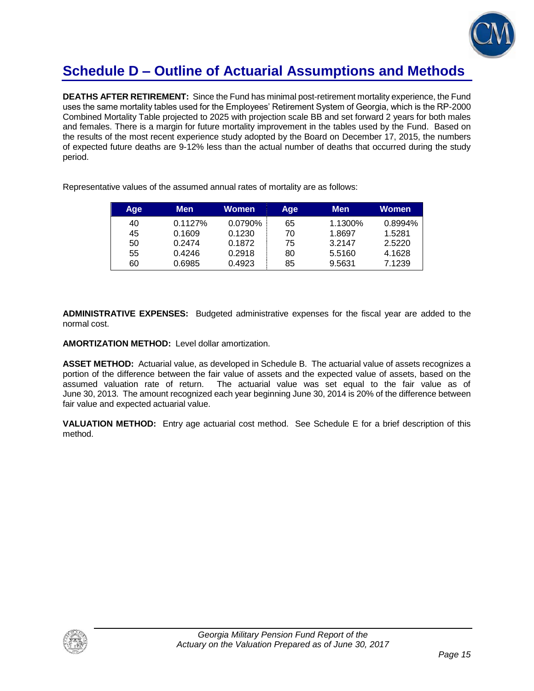

### **Schedule D – Outline of Actuarial Assumptions and Methods**

**DEATHS AFTER RETIREMENT:** Since the Fund has minimal post-retirement mortality experience, the Fund uses the same mortality tables used for the Employees' Retirement System of Georgia, which is the RP-2000 Combined Mortality Table projected to 2025 with projection scale BB and set forward 2 years for both males and females. There is a margin for future mortality improvement in the tables used by the Fund. Based on the results of the most recent experience study adopted by the Board on December 17, 2015, the numbers of expected future deaths are 9-12% less than the actual number of deaths that occurred during the study period.

| Age | Men     | Women   | Age | <b>Men</b> | Women   |
|-----|---------|---------|-----|------------|---------|
| 40  | 0.1127% | 0.0790% | 65  | 1.1300%    | 0.8994% |
| 45  | 0.1609  | 0.1230  | 70  | 1.8697     | 1.5281  |
| 50  | 0.2474  | 0.1872  | 75  | 3.2147     | 2.5220  |
| 55  | 0.4246  | 0.2918  | 80  | 5.5160     | 4.1628  |
| 60  | 0.6985  | 0.4923  | 85  | 9.5631     | 7.1239  |

Representative values of the assumed annual rates of mortality are as follows:

**ADMINISTRATIVE EXPENSES:** Budgeted administrative expenses for the fiscal year are added to the normal cost.

**AMORTIZATION METHOD:** Level dollar amortization.

**ASSET METHOD:** Actuarial value, as developed in Schedule B. The actuarial value of assets recognizes a portion of the difference between the fair value of assets and the expected value of assets, based on the assumed valuation rate of return. The actuarial value was set equal to the fair value as of June 30, 2013. The amount recognized each year beginning June 30, 2014 is 20% of the difference between fair value and expected actuarial value.

**VALUATION METHOD:** Entry age actuarial cost method. See Schedule E for a brief description of this method.

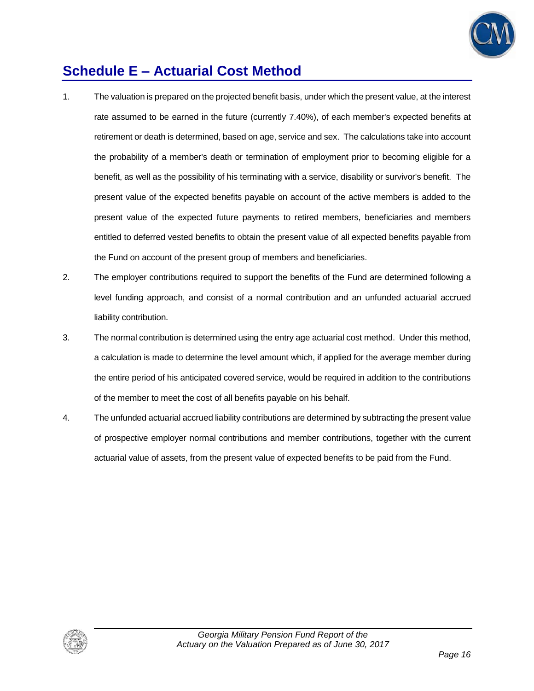

### **Schedule E – Actuarial Cost Method**

- 1. The valuation is prepared on the projected benefit basis, under which the present value, at the interest rate assumed to be earned in the future (currently 7.40%), of each member's expected benefits at retirement or death is determined, based on age, service and sex. The calculations take into account the probability of a member's death or termination of employment prior to becoming eligible for a benefit, as well as the possibility of his terminating with a service, disability or survivor's benefit. The present value of the expected benefits payable on account of the active members is added to the present value of the expected future payments to retired members, beneficiaries and members entitled to deferred vested benefits to obtain the present value of all expected benefits payable from the Fund on account of the present group of members and beneficiaries.
- 2. The employer contributions required to support the benefits of the Fund are determined following a level funding approach, and consist of a normal contribution and an unfunded actuarial accrued liability contribution.
- 3. The normal contribution is determined using the entry age actuarial cost method. Under this method, a calculation is made to determine the level amount which, if applied for the average member during the entire period of his anticipated covered service, would be required in addition to the contributions of the member to meet the cost of all benefits payable on his behalf.
- 4. The unfunded actuarial accrued liability contributions are determined by subtracting the present value of prospective employer normal contributions and member contributions, together with the current actuarial value of assets, from the present value of expected benefits to be paid from the Fund.

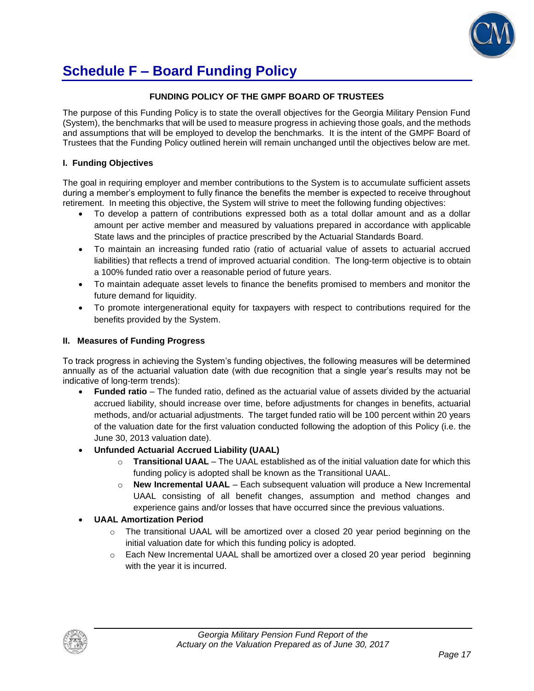

### **Schedule F – Board Funding Policy**

#### **FUNDING POLICY OF THE GMPF BOARD OF TRUSTEES**

The purpose of this Funding Policy is to state the overall objectives for the Georgia Military Pension Fund (System), the benchmarks that will be used to measure progress in achieving those goals, and the methods and assumptions that will be employed to develop the benchmarks. It is the intent of the GMPF Board of Trustees that the Funding Policy outlined herein will remain unchanged until the objectives below are met.

#### **I. Funding Objectives**

The goal in requiring employer and member contributions to the System is to accumulate sufficient assets during a member's employment to fully finance the benefits the member is expected to receive throughout retirement. In meeting this objective, the System will strive to meet the following funding objectives:

- To develop a pattern of contributions expressed both as a total dollar amount and as a dollar amount per active member and measured by valuations prepared in accordance with applicable State laws and the principles of practice prescribed by the Actuarial Standards Board.
- To maintain an increasing funded ratio (ratio of actuarial value of assets to actuarial accrued liabilities) that reflects a trend of improved actuarial condition. The long-term objective is to obtain a 100% funded ratio over a reasonable period of future years.
- To maintain adequate asset levels to finance the benefits promised to members and monitor the future demand for liquidity.
- To promote intergenerational equity for taxpayers with respect to contributions required for the benefits provided by the System.

#### **II. Measures of Funding Progress**

To track progress in achieving the System's funding objectives, the following measures will be determined annually as of the actuarial valuation date (with due recognition that a single year's results may not be indicative of long-term trends):

- **Funded ratio** The funded ratio, defined as the actuarial value of assets divided by the actuarial accrued liability, should increase over time, before adjustments for changes in benefits, actuarial methods, and/or actuarial adjustments. The target funded ratio will be 100 percent within 20 years of the valuation date for the first valuation conducted following the adoption of this Policy (i.e. the June 30, 2013 valuation date).
- **Unfunded Actuarial Accrued Liability (UAAL)**
	- o **Transitional UAAL** The UAAL established as of the initial valuation date for which this funding policy is adopted shall be known as the Transitional UAAL.
	- o **New Incremental UAAL** Each subsequent valuation will produce a New Incremental UAAL consisting of all benefit changes, assumption and method changes and experience gains and/or losses that have occurred since the previous valuations.

#### **UAAL Amortization Period**

- $\circ$  The transitional UAAL will be amortized over a closed 20 year period beginning on the initial valuation date for which this funding policy is adopted.
- $\circ$  Each New Incremental UAAL shall be amortized over a closed 20 year period beginning with the year it is incurred.

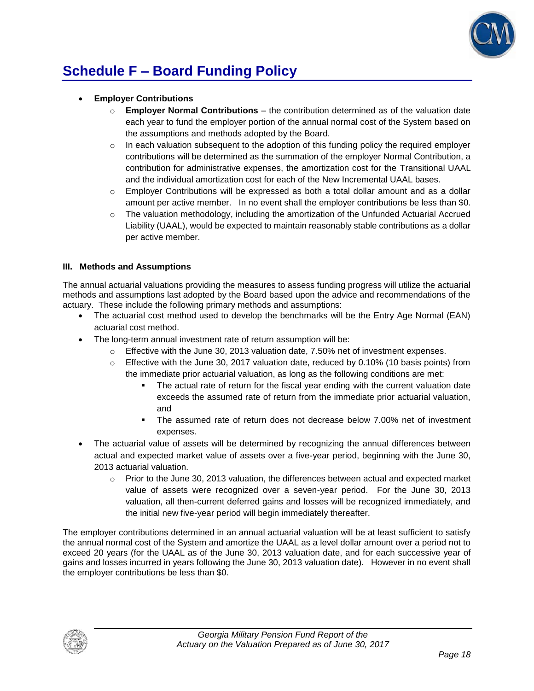

# **Schedule F – Board Funding Policy**

- **Employer Contributions**
	- o **Employer Normal Contributions**  the contribution determined as of the valuation date each year to fund the employer portion of the annual normal cost of the System based on the assumptions and methods adopted by the Board.
	- $\circ$  In each valuation subsequent to the adoption of this funding policy the required employer contributions will be determined as the summation of the employer Normal Contribution, a contribution for administrative expenses, the amortization cost for the Transitional UAAL and the individual amortization cost for each of the New Incremental UAAL bases.
	- $\circ$  Employer Contributions will be expressed as both a total dollar amount and as a dollar amount per active member. In no event shall the employer contributions be less than \$0.
	- $\circ$  The valuation methodology, including the amortization of the Unfunded Actuarial Accrued Liability (UAAL), would be expected to maintain reasonably stable contributions as a dollar per active member.

#### **III. Methods and Assumptions**

The annual actuarial valuations providing the measures to assess funding progress will utilize the actuarial methods and assumptions last adopted by the Board based upon the advice and recommendations of the actuary. These include the following primary methods and assumptions:

- The actuarial cost method used to develop the benchmarks will be the Entry Age Normal (EAN) actuarial cost method.
- The long-term annual investment rate of return assumption will be:
	- $\circ$  Effective with the June 30, 2013 valuation date, 7.50% net of investment expenses.
	- $\circ$  Effective with the June 30, 2017 valuation date, reduced by 0.10% (10 basis points) from the immediate prior actuarial valuation, as long as the following conditions are met:
		- The actual rate of return for the fiscal year ending with the current valuation date exceeds the assumed rate of return from the immediate prior actuarial valuation, and
		- The assumed rate of return does not decrease below 7.00% net of investment expenses.
- The actuarial value of assets will be determined by recognizing the annual differences between actual and expected market value of assets over a five-year period, beginning with the June 30, 2013 actuarial valuation.
	- $\circ$  Prior to the June 30, 2013 valuation, the differences between actual and expected market value of assets were recognized over a seven-year period. For the June 30, 2013 valuation, all then-current deferred gains and losses will be recognized immediately, and the initial new five-year period will begin immediately thereafter.

The employer contributions determined in an annual actuarial valuation will be at least sufficient to satisfy the annual normal cost of the System and amortize the UAAL as a level dollar amount over a period not to exceed 20 years (for the UAAL as of the June 30, 2013 valuation date, and for each successive year of gains and losses incurred in years following the June 30, 2013 valuation date). However in no event shall the employer contributions be less than \$0.

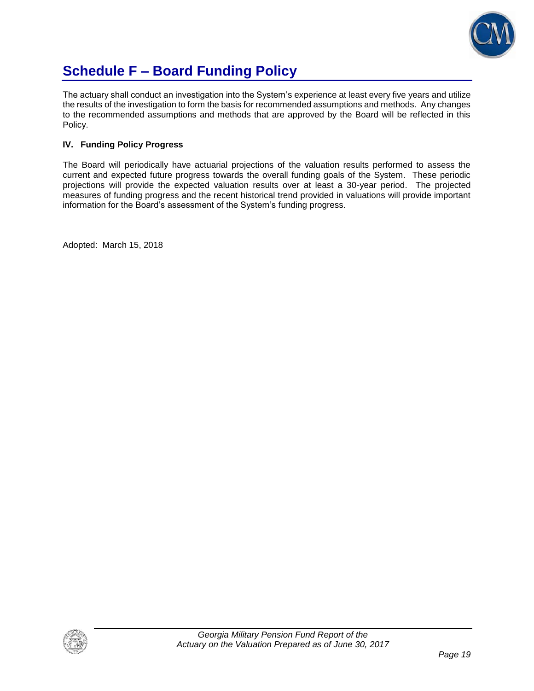

# **Schedule F – Board Funding Policy**

The actuary shall conduct an investigation into the System's experience at least every five years and utilize the results of the investigation to form the basis for recommended assumptions and methods. Any changes to the recommended assumptions and methods that are approved by the Board will be reflected in this Policy.

#### **IV. Funding Policy Progress**

The Board will periodically have actuarial projections of the valuation results performed to assess the current and expected future progress towards the overall funding goals of the System. These periodic projections will provide the expected valuation results over at least a 30-year period. The projected measures of funding progress and the recent historical trend provided in valuations will provide important information for the Board's assessment of the System's funding progress.

Adopted: March 15, 2018

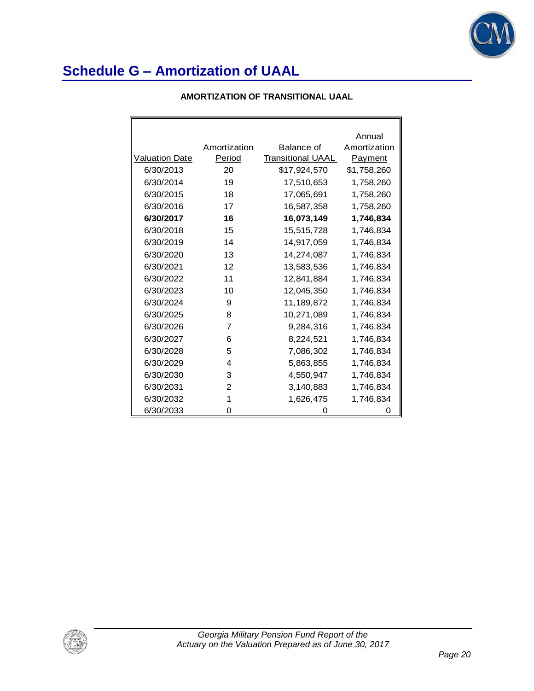

#### **AMORTIZATION OF TRANSITIONAL UAAL**

|                       |              |                          | Annual       |
|-----------------------|--------------|--------------------------|--------------|
|                       | Amortization | Balance of               | Amortization |
| <b>Valuation Date</b> | Period       | <b>Transitional UAAL</b> | Payment      |
| 6/30/2013             | 20           | \$17,924,570             | \$1,758,260  |
| 6/30/2014             | 19           | 17,510,653               | 1,758,260    |
| 6/30/2015             | 18           | 17,065,691               | 1,758,260    |
| 6/30/2016             | 17           | 16,587,358               | 1,758,260    |
| 6/30/2017             | 16           | 16,073,149               | 1,746,834    |
| 6/30/2018             | 15           | 15,515,728               | 1,746,834    |
| 6/30/2019             | 14           | 14,917,059               | 1,746,834    |
| 6/30/2020             | 13           | 14,274,087               | 1,746,834    |
| 6/30/2021             | 12           | 13,583,536               | 1,746,834    |
| 6/30/2022             | 11           | 12,841,884               | 1,746,834    |
| 6/30/2023             | 10           | 12,045,350               | 1,746,834    |
| 6/30/2024             | 9            | 11,189,872               | 1,746,834    |
| 6/30/2025             | 8            | 10,271,089               | 1,746,834    |
| 6/30/2026             | 7            | 9,284,316                | 1,746,834    |
| 6/30/2027             | 6            | 8,224,521                | 1,746,834    |
| 6/30/2028             | 5            | 7,086,302                | 1,746,834    |
| 6/30/2029             | 4            | 5,863,855                | 1,746,834    |
| 6/30/2030             | 3            | 4,550,947                | 1,746,834    |
| 6/30/2031             | 2            | 3,140,883                | 1,746,834    |
| 6/30/2032             | 1            | 1,626,475                | 1,746,834    |
| 6/30/2033             | 0            | 0                        | 0            |

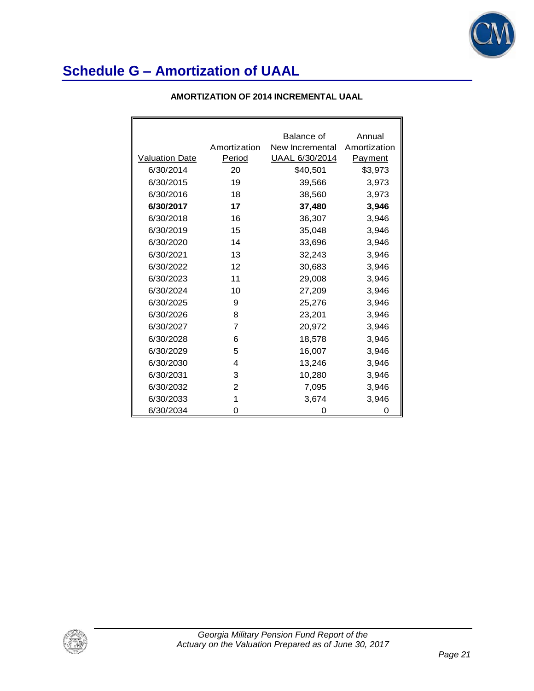

#### **AMORTIZATION OF 2014 INCREMENTAL UAAL**

|                       |              | Balance of            | Annual         |
|-----------------------|--------------|-----------------------|----------------|
|                       | Amortization | New Incremental       | Amortization   |
| <b>Valuation Date</b> | Period       | <u>UAAL 6/30/2014</u> | <b>Payment</b> |
| 6/30/2014             | 20           | \$40,501              | \$3,973        |
| 6/30/2015             | 19           | 39,566                | 3,973          |
| 6/30/2016             | 18           | 38,560                | 3,973          |
| 6/30/2017             | 17           | 37,480                | 3,946          |
| 6/30/2018             | 16           | 36,307                | 3,946          |
| 6/30/2019             | 15           | 35,048                | 3,946          |
| 6/30/2020             | 14           | 33,696                | 3,946          |
| 6/30/2021             | 13           | 32,243                | 3,946          |
| 6/30/2022             | 12           | 30,683                | 3,946          |
| 6/30/2023             | 11           | 29,008                | 3,946          |
| 6/30/2024             | 10           | 27,209                | 3,946          |
| 6/30/2025             | 9            | 25,276                | 3,946          |
| 6/30/2026             | 8            | 23,201                | 3,946          |
| 6/30/2027             | 7            | 20,972                | 3,946          |
| 6/30/2028             | 6            | 18,578                | 3,946          |
| 6/30/2029             | 5            | 16,007                | 3,946          |
| 6/30/2030             | 4            | 13,246                | 3,946          |
| 6/30/2031             | 3            | 10,280                | 3,946          |
| 6/30/2032             | 2            | 7,095                 | 3,946          |
| 6/30/2033             | 1            | 3,674                 | 3,946          |
| 6/30/2034             | 0            | 0                     | 0              |

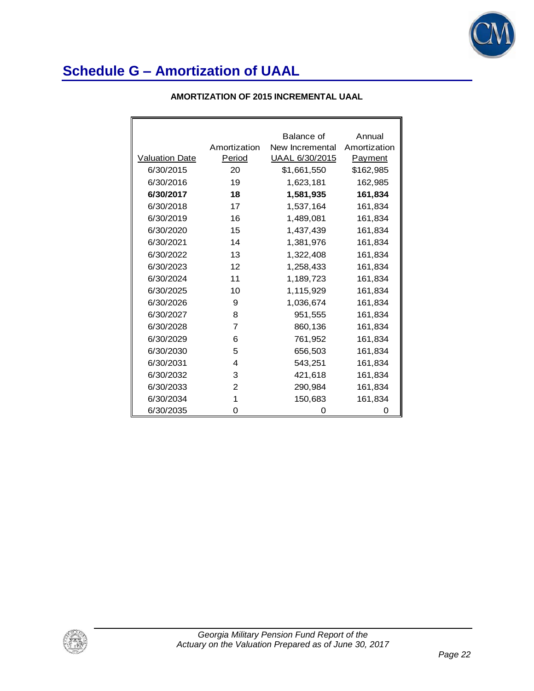

|                       |                | Balance of            | Annual         |
|-----------------------|----------------|-----------------------|----------------|
|                       | Amortization   | New Incremental       | Amortization   |
| <b>Valuation Date</b> | Period         | <u>UAAL 6/30/2015</u> | <u>Payment</u> |
| 6/30/2015             | 20             | \$1,661,550           | \$162,985      |
| 6/30/2016             | 19             | 1,623,181             | 162,985        |
| 6/30/2017             | 18             | 1,581,935             | 161,834        |
| 6/30/2018             | 17             | 1,537,164             | 161,834        |
| 6/30/2019             | 16             | 1,489,081             | 161,834        |
| 6/30/2020             | 15             | 1,437,439             | 161,834        |
| 6/30/2021             | 14             | 1,381,976             | 161,834        |
| 6/30/2022             | 13             | 1,322,408             | 161,834        |
| 6/30/2023             | 12             | 1,258,433             | 161,834        |
| 6/30/2024             | 11             | 1,189,723             | 161,834        |
| 6/30/2025             | 10             | 1,115,929             | 161,834        |
| 6/30/2026             | 9              | 1,036,674             | 161,834        |
| 6/30/2027             | 8              | 951,555               | 161,834        |
| 6/30/2028             | $\overline{7}$ | 860,136               | 161,834        |
| 6/30/2029             | 6              | 761,952               | 161,834        |
| 6/30/2030             | 5              | 656,503               | 161,834        |
| 6/30/2031             | 4              | 543,251               | 161,834        |
| 6/30/2032             | 3              | 421,618               | 161,834        |
| 6/30/2033             | 2              | 290,984               | 161,834        |
| 6/30/2034             | 1              | 150,683               | 161,834        |
| 6/30/2035             | 0              | 0                     | Ω              |

#### **AMORTIZATION OF 2015 INCREMENTAL UAAL**

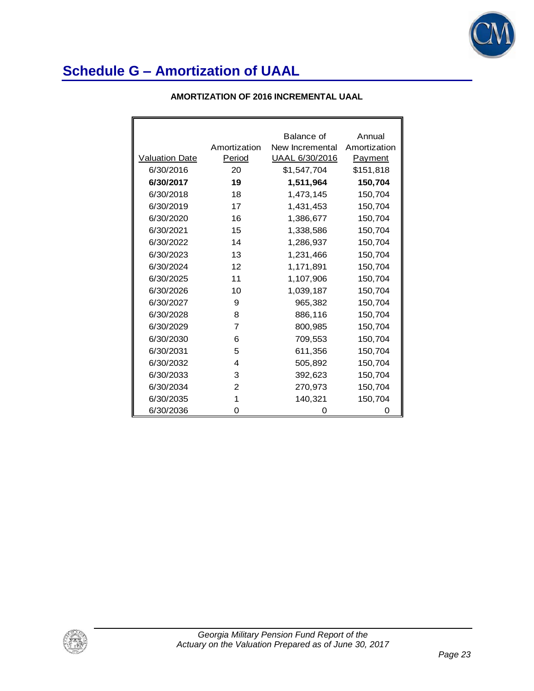

|                       |                | Balance of      | Annual       |
|-----------------------|----------------|-----------------|--------------|
|                       | Amortization   | New Incremental | Amortization |
| <b>Valuation Date</b> | Period         | UAAL 6/30/2016  | Payment      |
| 6/30/2016             | 20             | \$1,547,704     | \$151,818    |
| 6/30/2017             | 19             | 1,511,964       | 150,704      |
| 6/30/2018             | 18             | 1,473,145       | 150,704      |
| 6/30/2019             | 17             | 1,431,453       | 150,704      |
| 6/30/2020             | 16             | 1,386,677       | 150,704      |
| 6/30/2021             | 15             | 1,338,586       | 150,704      |
| 6/30/2022             | 14             | 1,286,937       | 150,704      |
| 6/30/2023             | 13             | 1,231,466       | 150,704      |
| 6/30/2024             | 12             | 1,171,891       | 150,704      |
| 6/30/2025             | 11             | 1,107,906       | 150,704      |
| 6/30/2026             | 10             | 1,039,187       | 150,704      |
| 6/30/2027             | 9              | 965,382         | 150,704      |
| 6/30/2028             | 8              | 886,116         | 150,704      |
| 6/30/2029             | $\overline{7}$ | 800,985         | 150,704      |
| 6/30/2030             | 6              | 709,553         | 150,704      |
| 6/30/2031             | 5              | 611,356         | 150,704      |
| 6/30/2032             | 4              | 505,892         | 150,704      |
| 6/30/2033             | 3              | 392,623         | 150,704      |
| 6/30/2034             | $\mathfrak{p}$ | 270,973         | 150,704      |
| 6/30/2035             | 1              | 140,321         | 150,704      |
| 6/30/2036             | 0              | 0               | 0            |

#### **AMORTIZATION OF 2016 INCREMENTAL UAAL**

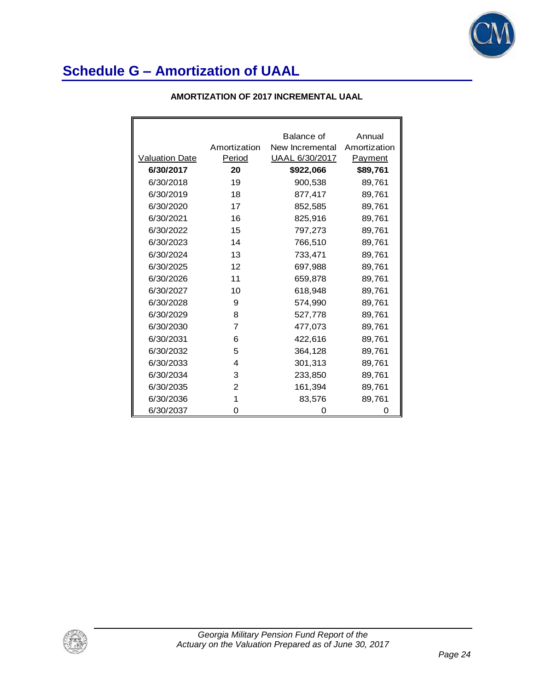

| <b>AMORTIZATION OF 2017 INCREMENTAL UAAL</b> |  |
|----------------------------------------------|--|
|----------------------------------------------|--|

|                       |                | Balance of      | Annual         |
|-----------------------|----------------|-----------------|----------------|
|                       | Amortization   | New Incremental | Amortization   |
| <b>Valuation Date</b> | Period         | UAAL 6/30/2017  | <u>Payment</u> |
| 6/30/2017             | 20             | \$922,066       | \$89,761       |
| 6/30/2018             | 19             | 900,538         | 89,761         |
| 6/30/2019             | 18             | 877,417         | 89,761         |
| 6/30/2020             | 17             | 852,585         | 89,761         |
| 6/30/2021             | 16             | 825,916         | 89,761         |
| 6/30/2022             | 15             | 797,273         | 89,761         |
| 6/30/2023             | 14             | 766,510         | 89,761         |
| 6/30/2024             | 13             | 733,471         | 89,761         |
| 6/30/2025             | 12             | 697,988         | 89,761         |
| 6/30/2026             | 11             | 659,878         | 89,761         |
| 6/30/2027             | 10             | 618,948         | 89,761         |
| 6/30/2028             | 9              | 574,990         | 89,761         |
| 6/30/2029             | 8              | 527,778         | 89,761         |
| 6/30/2030             | $\overline{7}$ | 477,073         | 89,761         |
| 6/30/2031             | 6              | 422,616         | 89,761         |
| 6/30/2032             | 5              | 364,128         | 89,761         |
| 6/30/2033             | 4              | 301,313         | 89,761         |
| 6/30/2034             | 3              | 233,850         | 89,761         |
| 6/30/2035             | 2              | 161,394         | 89,761         |
| 6/30/2036             | 1              | 83,576          | 89,761         |
| 6/30/2037             | 0              | Ω               | 0              |

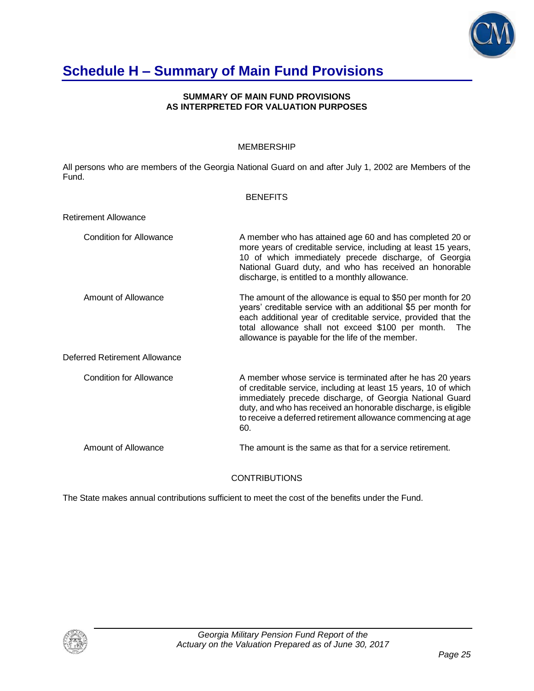

### **Schedule H – Summary of Main Fund Provisions**

#### **SUMMARY OF MAIN FUND PROVISIONS AS INTERPRETED FOR VALUATION PURPOSES**

#### MEMBERSHIP

All persons who are members of the Georgia National Guard on and after July 1, 2002 are Members of the Fund.

#### **BENEFITS**

| <b>Retirement Allowance</b>    |                                                                                                                                                                                                                                                                                                                                    |
|--------------------------------|------------------------------------------------------------------------------------------------------------------------------------------------------------------------------------------------------------------------------------------------------------------------------------------------------------------------------------|
| <b>Condition for Allowance</b> | A member who has attained age 60 and has completed 20 or<br>more years of creditable service, including at least 15 years,<br>10 of which immediately precede discharge, of Georgia<br>National Guard duty, and who has received an honorable<br>discharge, is entitled to a monthly allowance.                                    |
| Amount of Allowance            | The amount of the allowance is equal to \$50 per month for 20<br>years' creditable service with an additional \$5 per month for<br>each additional year of creditable service, provided that the<br>total allowance shall not exceed \$100 per month.<br>The<br>allowance is payable for the life of the member.                   |
| Deferred Retirement Allowance  |                                                                                                                                                                                                                                                                                                                                    |
| Condition for Allowance        | A member whose service is terminated after he has 20 years<br>of creditable service, including at least 15 years, 10 of which<br>immediately precede discharge, of Georgia National Guard<br>duty, and who has received an honorable discharge, is eligible<br>to receive a deferred retirement allowance commencing at age<br>60. |
| Amount of Allowance            | The amount is the same as that for a service retirement.                                                                                                                                                                                                                                                                           |

**CONTRIBUTIONS** 

The State makes annual contributions sufficient to meet the cost of the benefits under the Fund.

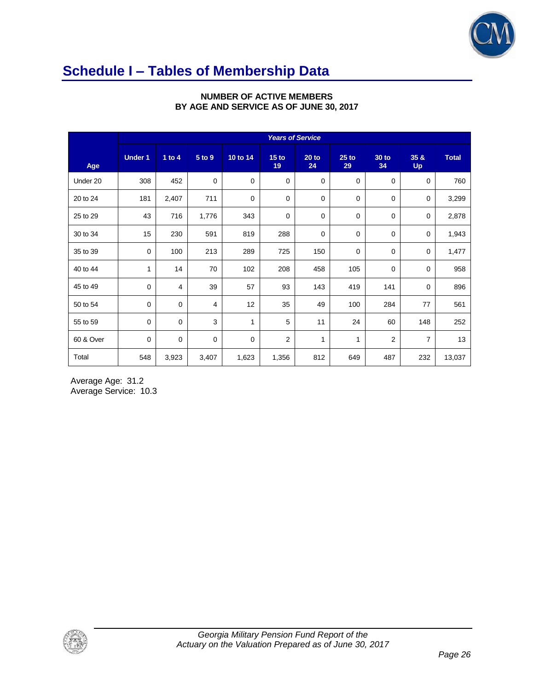

### **Schedule I – Tables of Membership Data**

|           | <b>Years of Service</b> |             |                |              |                        |               |               |                    |                   |              |
|-----------|-------------------------|-------------|----------------|--------------|------------------------|---------------|---------------|--------------------|-------------------|--------------|
| Age       | <b>Under 1</b>          | 1 to $4$    | 5 to 9         | 10 to 14     | 15 <sub>to</sub><br>19 | $20$ to<br>24 | $25$ to<br>29 | <b>30 to</b><br>34 | 35 &<br><b>Up</b> | <b>Total</b> |
| Under 20  | 308                     | 452         | $\mathbf 0$    | 0            | $\mathbf 0$            | 0             | 0             | 0                  | $\mathbf 0$       | 760          |
| 20 to 24  | 181                     | 2,407       | 711            | 0            | $\mathbf 0$            | 0             | 0             | 0                  | 0                 | 3,299        |
| 25 to 29  | 43                      | 716         | 1,776          | 343          | 0                      | 0             | 0             | $\pmb{0}$          | 0                 | 2,878        |
| 30 to 34  | 15                      | 230         | 591            | 819          | 288                    | $\mathbf 0$   | $\mathbf 0$   | 0                  | 0                 | 1,943        |
| 35 to 39  | $\mathbf 0$             | 100         | 213            | 289          | 725                    | 150           | $\mathbf 0$   | 0                  | $\mathbf 0$       | 1,477        |
| 40 to 44  | 1                       | 14          | 70             | 102          | 208                    | 458           | 105           | $\mathbf 0$        | $\mathbf 0$       | 958          |
| 45 to 49  | $\mathbf 0$             | 4           | 39             | 57           | 93                     | 143           | 419           | 141                | $\mathbf 0$       | 896          |
| 50 to 54  | $\mathbf 0$             | $\mathbf 0$ | $\overline{4}$ | 12           | 35                     | 49            | 100           | 284                | 77                | 561          |
| 55 to 59  | $\mathbf 0$             | $\mathbf 0$ | 3              | $\mathbf{1}$ | 5                      | 11            | 24            | 60                 | 148               | 252          |
| 60 & Over | $\mathbf 0$             | $\mathbf 0$ | $\mathbf 0$    | $\mathbf 0$  | $\overline{2}$         | $\mathbf{1}$  | 1             | $\overline{2}$     | $\overline{7}$    | 13           |
| Total     | 548                     | 3,923       | 3,407          | 1,623        | 1,356                  | 812           | 649           | 487                | 232               | 13,037       |

#### **NUMBER OF ACTIVE MEMBERS BY AGE AND SERVICE AS OF JUNE 30, 2017**

Average Age: 31.2 Average Service: 10.3

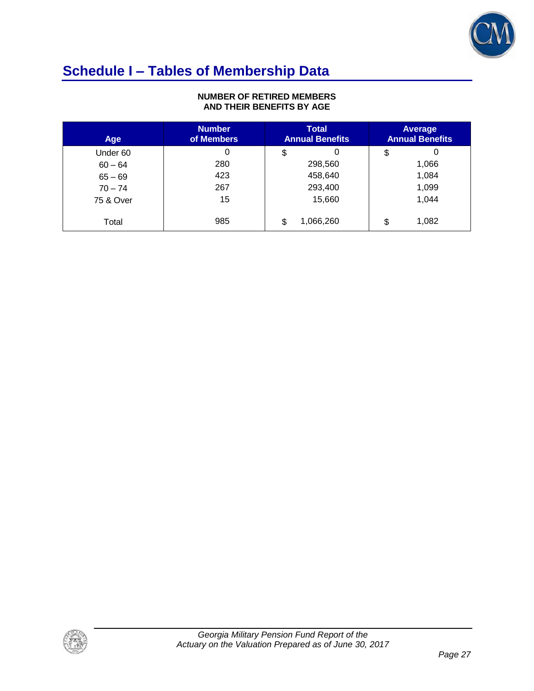

# **Schedule I – Tables of Membership Data**

#### **NUMBER OF RETIRED MEMBERS AND THEIR BENEFITS BY AGE**

| <b>Age</b> | <b>Number</b><br>of Members | <b>Total</b><br><b>Annual Benefits</b> | Average<br><b>Annual Benefits</b> |
|------------|-----------------------------|----------------------------------------|-----------------------------------|
| Under 60   | 0                           | \$<br>0                                | 0<br>\$                           |
| $60 - 64$  | 280                         | 298,560                                | 1,066                             |
| $65 - 69$  | 423                         | 458,640                                | 1,084                             |
| $70 - 74$  | 267                         | 293,400                                | 1,099                             |
| 75 & Over  | 15                          | 15,660                                 | 1,044                             |
| Total      | 985                         | 1,066,260<br>\$                        | 1,082<br>\$                       |